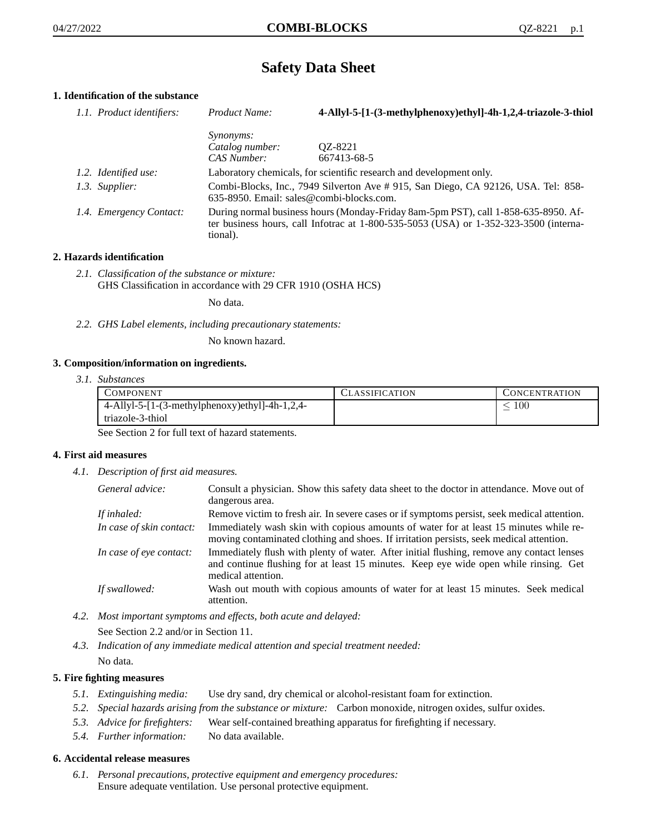# **Safety Data Sheet**

# **1. Identification of the substance**

| 1.1. Product identifiers: | Product Name:                                                                                                                                                                           | 4-Allyl-5-[1-(3-methylphenoxy)ethyl]-4h-1,2,4-triazole-3-thiol      |
|---------------------------|-----------------------------------------------------------------------------------------------------------------------------------------------------------------------------------------|---------------------------------------------------------------------|
|                           | <i>Synonyms:</i>                                                                                                                                                                        |                                                                     |
|                           | Catalog number:                                                                                                                                                                         | OZ-8221                                                             |
|                           | CAS Number:                                                                                                                                                                             | 667413-68-5                                                         |
| 1.2. Identified use:      |                                                                                                                                                                                         | Laboratory chemicals, for scientific research and development only. |
| 1.3. Supplier:            | Combi-Blocks, Inc., 7949 Silverton Ave # 915, San Diego, CA 92126, USA. Tel: 858-<br>$635-8950$ . Email: sales@combi-blocks.com.                                                        |                                                                     |
| 1.4. Emergency Contact:   | During normal business hours (Monday-Friday 8am-5pm PST), call 1-858-635-8950. Af-<br>ter business hours, call Infotrac at 1-800-535-5053 (USA) or 1-352-323-3500 (interna-<br>tional). |                                                                     |

# **2. Hazards identification**

*2.1. Classification of the substance or mixture:* GHS Classification in accordance with 29 CFR 1910 (OSHA HCS)

No data.

*2.2. GHS Label elements, including precautionary statements:*

No known hazard.

## **3. Composition/information on ingredients.**

*3.1. Substances*

| COMPONENT                                      | CLASSIFICATION | CONCENTRATION |
|------------------------------------------------|----------------|---------------|
| 4-Allyl-5-[1-(3-methylphenoxy)ethyl]-4h-1,2,4- |                | 100           |
| triazole-3-thiol                               |                |               |

See Section 2 for full text of hazard statements.

## **4. First aid measures**

*4.1. Description of first aid measures.*

| General advice:          | Consult a physician. Show this safety data sheet to the doctor in attendance. Move out of<br>dangerous area.                                                                                            |
|--------------------------|---------------------------------------------------------------------------------------------------------------------------------------------------------------------------------------------------------|
| If inhaled:              | Remove victim to fresh air. In severe cases or if symptoms persist, seek medical attention.                                                                                                             |
| In case of skin contact: | Immediately wash skin with copious amounts of water for at least 15 minutes while re-<br>moving contaminated clothing and shoes. If irritation persists, seek medical attention.                        |
| In case of eye contact:  | Immediately flush with plenty of water. After initial flushing, remove any contact lenses<br>and continue flushing for at least 15 minutes. Keep eye wide open while rinsing. Get<br>medical attention. |
| If swallowed:            | Wash out mouth with copious amounts of water for at least 15 minutes. Seek medical<br>attention.                                                                                                        |

- *4.2. Most important symptoms and effects, both acute and delayed:* See Section 2.2 and/or in Section 11.
- *4.3. Indication of any immediate medical attention and special treatment needed:* No data.

## **5. Fire fighting measures**

- *5.1. Extinguishing media:* Use dry sand, dry chemical or alcohol-resistant foam for extinction.
- *5.2. Special hazards arising from the substance or mixture:* Carbon monoxide, nitrogen oxides, sulfur oxides.
- *5.3. Advice for firefighters:* Wear self-contained breathing apparatus for firefighting if necessary.
- *5.4. Further information:* No data available.

## **6. Accidental release measures**

*6.1. Personal precautions, protective equipment and emergency procedures:* Ensure adequate ventilation. Use personal protective equipment.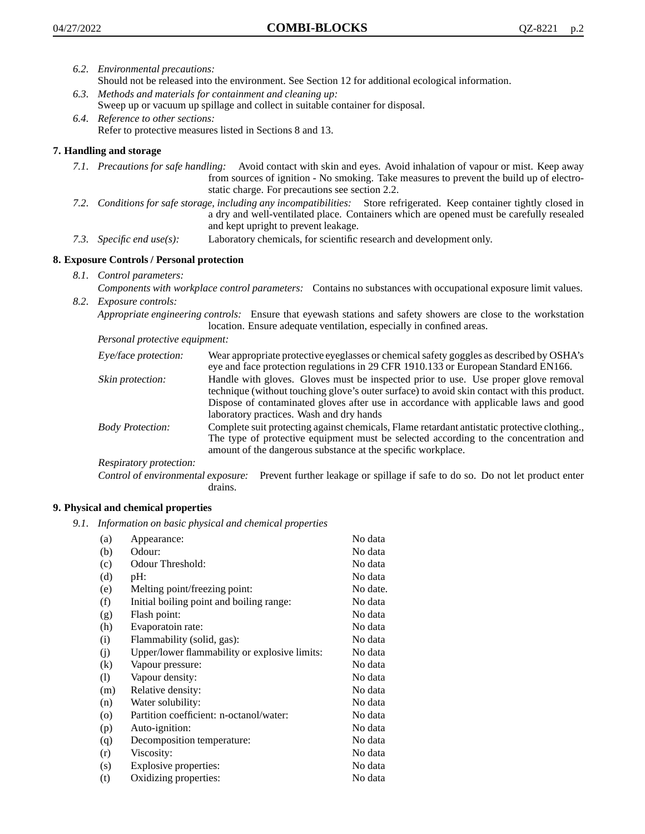- *6.2. Environmental precautions:*
	- Should not be released into the environment. See Section 12 for additional ecological information.
- *6.3. Methods and materials for containment and cleaning up:* Sweep up or vacuum up spillage and collect in suitable container for disposal.
- *6.4. Reference to other sections:* Refer to protective measures listed in Sections 8 and 13.

# **7. Handling and storage**

- *7.1. Precautions for safe handling:* Avoid contact with skin and eyes. Avoid inhalation of vapour or mist. Keep away from sources of ignition - No smoking. Take measures to prevent the build up of electrostatic charge. For precautions see section 2.2.
- *7.2. Conditions for safe storage, including any incompatibilities:* Store refrigerated. Keep container tightly closed in a dry and well-ventilated place. Containers which are opened must be carefully resealed and kept upright to prevent leakage.
- *7.3. Specific end use(s):* Laboratory chemicals, for scientific research and development only.

# **8. Exposure Controls / Personal protection**

*8.1. Control parameters:*

*Components with workplace control parameters:* Contains no substances with occupational exposure limit values. *8.2. Exposure controls:*

*Appropriate engineering controls:* Ensure that eyewash stations and safety showers are close to the workstation location. Ensure adequate ventilation, especially in confined areas.

*Personal protective equipment:*

| Eye/face protection:    | Wear appropriate protective eyeglasses or chemical safety goggles as described by OSHA's<br>eye and face protection regulations in 29 CFR 1910.133 or European Standard EN166.                                                                                                                                         |
|-------------------------|------------------------------------------------------------------------------------------------------------------------------------------------------------------------------------------------------------------------------------------------------------------------------------------------------------------------|
| Skin protection:        | Handle with gloves. Gloves must be inspected prior to use. Use proper glove removal<br>technique (without touching glove's outer surface) to avoid skin contact with this product.<br>Dispose of contaminated gloves after use in accordance with applicable laws and good<br>laboratory practices. Wash and dry hands |
| <b>Body Protection:</b> | Complete suit protecting against chemicals, Flame retardant antistatic protective clothing.,<br>The type of protective equipment must be selected according to the concentration and<br>amount of the dangerous substance at the specific workplace.                                                                   |
| Respiratory protection: |                                                                                                                                                                                                                                                                                                                        |

Control of environmental exposure: Prevent further leakage or spillage if safe to do so. Do not let product enter drains.

## **9. Physical and chemical properties**

*9.1. Information on basic physical and chemical properties*

| (a)               | Appearance:                                   | No data  |
|-------------------|-----------------------------------------------|----------|
| (b)               | Odour:                                        | No data  |
| (c)               | Odour Threshold:                              | No data  |
| (d)               | pH:                                           | No data  |
| (e)               | Melting point/freezing point:                 | No date. |
| (f)               | Initial boiling point and boiling range:      | No data  |
| (g)               | Flash point:                                  | No data  |
| (h)               | Evaporatoin rate:                             | No data  |
| (i)               | Flammability (solid, gas):                    | No data  |
| (j)               | Upper/lower flammability or explosive limits: | No data  |
| $\left( k\right)$ | Vapour pressure:                              | No data  |
| (1)               | Vapour density:                               | No data  |
| (m)               | Relative density:                             | No data  |
| (n)               | Water solubility:                             | No data  |
| $\circ$           | Partition coefficient: n-octanol/water:       | No data  |
| (p)               | Auto-ignition:                                | No data  |
| (q)               | Decomposition temperature:                    | No data  |
| (r)               | Viscosity:                                    | No data  |
| (s)               | Explosive properties:                         | No data  |
| (t)               | Oxidizing properties:                         | No data  |